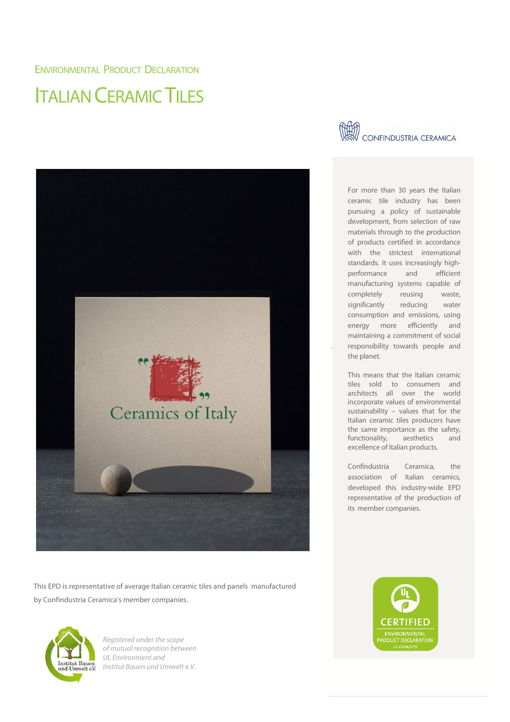## ENVIRONMENTAL PRODUCT DECLARATION

## ITALIAN CERAMIC TILES



This EPD is representative of average Italian ceramic tiles and panels manufactured by Confindustria Ceramica's member companies.



Registered under the scope of mutual recognition between UL Environment and Institut Bauen und Umwelt e.V.



For more than 30 years the Italian ceramic tile industry has been pursuing a policy of sustainable development, from selection of raw materials through to the production of products certified in accordance with the strictest international standards. It uses increasingly highperformance and efficient manufacturing systems capable of completely reusing waste, significantly reducing water consumption and emissions, using energy more efficiently and maintaining a commitment of social responsibility towards people and the planet.

This means that the Italian ceramic tiles sold to consumers and architects all over the world incorporate values of environmental sustainability – values that for the Italian ceramic tiles producers have the same importance as the safety, functionality, aesthetics and excellence of Italian products.

Confindustria Ceramica, the association of Italian ceramics, developed this industry-wide EPD representative of the production of its member companies.

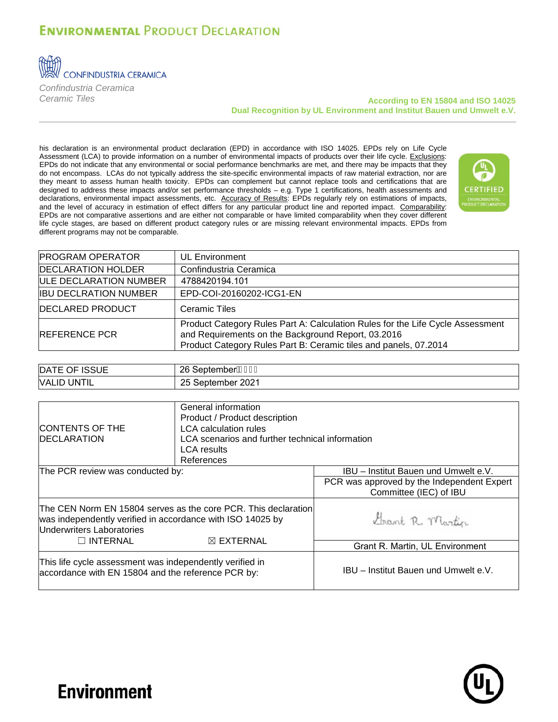## **ENVIRONMENTAL PRODUCT DECLARATION**



*Confindustria Ceramica*

## *Ceramic Tiles* **According to EN 15804 and ISO 14025 Dual Recognition by UL Environment and Institut Bauen und Umwelt e.V.**

his declaration is an environmental product declaration (EPD) in accordance with ISO 14025. EPDs rely on Life Cycle Assessment (LCA) to provide information on a number of environmental impacts of products over their life cycle. Exclusions: EPDs do not indicate that any environmental or social performance benchmarks are met, and there may be impacts that they do not encompass. LCAs do not typically address the site-specific environmental impacts of raw material extraction, nor are they meant to assess human health toxicity. EPDs can complement but cannot replace tools and certifications that are designed to address these impacts and/or set performance thresholds – e.g. Type 1 certifications, health assessments and declarations, environmental impact assessments, etc. Accuracy of Results: EPDs regularly rely on estimations of impacts, and the level of accuracy in estimation of effect differs for any particular product line and reported impact. Comparability: EPDs are not comparative assertions and are either not comparable or have limited comparability when they cover different life cycle stages, are based on different product category rules or are missing relevant environmental impacts. EPDs from different programs may not be comparable.



| <b>PROGRAM OPERATOR</b>       | <b>UL Environment</b>                                                                                                                                                                                    |
|-------------------------------|----------------------------------------------------------------------------------------------------------------------------------------------------------------------------------------------------------|
| <b>DECLARATION HOLDER</b>     | Confindustria Ceramica                                                                                                                                                                                   |
| <b>ULE DECLARATION NUMBER</b> | 4788420194.101                                                                                                                                                                                           |
| <b>IBU DECLRATION NUMBER</b>  | EPD-COI-20160202-ICG1-EN                                                                                                                                                                                 |
| <b>DECLARED PRODUCT</b>       | Ceramic Tiles                                                                                                                                                                                            |
| <b>REFERENCE PCR</b>          | Product Category Rules Part A: Calculation Rules for the Life Cycle Assessment<br>and Requirements on the Background Report, 03.2016<br>Product Category Rules Part B: Ceramic tiles and panels, 07.2014 |

| OF ISSUE                     | 26                         |
|------------------------------|----------------------------|
| <b>DATE</b>                  | $\sim$                     |
| ⊣ل                           | SeptemberA <del>J</del> EH |
| <b>UNTIL</b><br><b>VALID</b> | September 2021<br>つに<br>∠∪ |

| <b>CONTENTS OF THE</b><br><b>IDECLARATION</b>                                                                  | General information<br>Product / Product description<br><b>LCA</b> calculation rules<br>LCA scenarios and further technical information<br><b>LCA</b> results<br>References |                                                                      |
|----------------------------------------------------------------------------------------------------------------|-----------------------------------------------------------------------------------------------------------------------------------------------------------------------------|----------------------------------------------------------------------|
| The PCR review was conducted by:                                                                               |                                                                                                                                                                             | IBU - Institut Bauen und Umwelt e.V.                                 |
|                                                                                                                |                                                                                                                                                                             | PCR was approved by the Independent Expert<br>Committee (IEC) of IBU |
| was independently verified in accordance with ISO 14025 by<br>Underwriters Laboratories<br>$\Box$ INTERNAL     | The CEN Norm EN 15804 serves as the core PCR. This declaration<br>$\boxtimes$ EXTERNAL                                                                                      | Grant R. Martin                                                      |
|                                                                                                                |                                                                                                                                                                             | Grant R. Martin, UL Environment                                      |
| This life cycle assessment was independently verified in<br>accordance with EN 15804 and the reference PCR by: |                                                                                                                                                                             | IBU - Institut Bauen und Umwelt e.V.                                 |



## **Environment**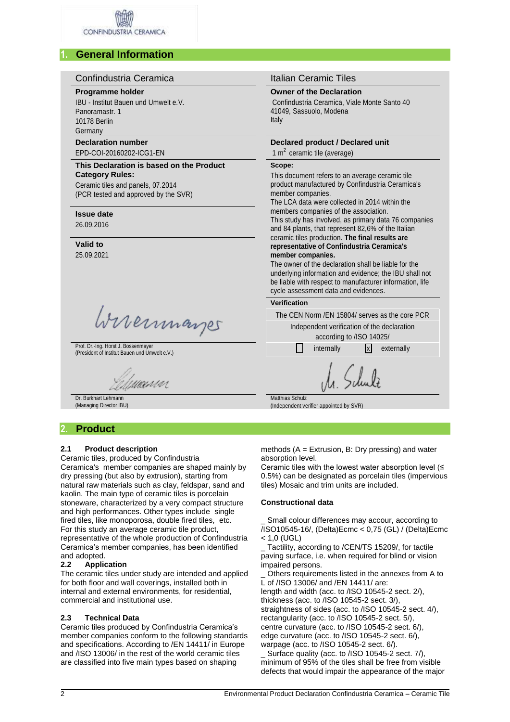## **1. General Information**

#### Confindustria Ceramica **International Italian Ceramic Tiles Programme holder Owner of the Declaration** IBU - Institut Bauen und Umwelt e.V. Confindustria Ceramica, Viale Monte Santo 40 Panoramastr. 1 41049, Sassuolo, Modena Italy 10178 Berlin Germany **Declaration number Declared product / Declared unit** 1  $m<sup>2</sup>$  ceramic tile (average) EPD-COI-20160202-ICG1-EN **This Declaration is based on the Product Scope: Category Rules:** This document refers to an average ceramic tile product manufactured by Confindustria Ceramica's Ceramic tiles and panels, 07.2014 member companies. (PCR tested and approved by the SVR) The LCA data were collected in 2014 within the members companies of the association. **Issue date** This study has involved, as primary data 76 companies 26.09.2016 and 84 plants, that represent 82,6% of the Italian ceramic tiles production. **The final results are Valid to representative of Confindustria Ceramica's**  25.09.2021 **member companies.** The owner of the declaration shall be liable for the underlying information and evidence; the IBU shall not be liable with respect to manufacturer information, life cycle assessment data and evidences. **Verification** Wirermayes The CEN Norm /EN 15804/ serves as the core PCR Independent verification of the declaration according to /ISO 14025/ Prof. Dr.-Ing. Horst J. Bossenmayer Prof. Dr.-Ing. Horst J. Bossenmayer<br>(President of Institut Bauen und Umwelt e.V.) internally internally internally x externally wann Matthias Schulz

Dr. Burkhart Lehmann (Managing Director IBU)

## **2. Product**

## **2.1 Product description**

Ceramic tiles, produced by Confindustria Ceramica's member companies are shaped mainly by dry pressing (but also by extrusion), starting from natural raw materials such as clay, feldspar, sand and kaolin. The main type of ceramic tiles is porcelain stoneware, characterized by a very compact structure and high performances. Other types include single fired tiles, like monoporosa, double fired tiles, etc. For this study an average ceramic tile product, representative of the whole production of Confindustria Ceramica's member companies, has been identified and adopted.

## **2.2 Application**

The ceramic tiles under study are intended and applied for both floor and wall coverings, installed both in internal and external environments, for residential, commercial and institutional use.

## **2.3 Technical Data**

Ceramic tiles produced by Confindustria Ceramica's member companies conform to the following standards and specifications. According to /EN 14411/ in Europe and /ISO 13006/ in the rest of the world ceramic tiles are classified into five main types based on shaping

methods (A = Extrusion, B: Dry pressing) and water absorption level.

Ceramic tiles with the lowest water absorption level (≤ 0.5%) can be designated as porcelain tiles (impervious tiles) Mosaic and trim units are included.

## **Constructional data**

(Independent verifier appointed by SVR)

Small colour differences may accour, according to /ISO10545-16/, (Delta)Ecmc < 0,75 (GL) / (Delta)Ecmc  $< 1,0$  (UGL)

Tactility, according to /CEN/TS 15209/, for tactile paving surface, i.e. when required for blind or vision impaired persons.

Others requirements listed in the annexes from A to L of /ISO 13006/ and /EN 14411/ are: length and width (acc. to /ISO 10545-2 sect. 2/), thickness (acc. to /ISO 10545-2 sect. 3/), straightness of sides (acc. to /ISO 10545-2 sect. 4/), rectangularity (acc. to /ISO 10545-2 sect. 5/), centre curvature (acc. to /ISO 10545-2 sect. 6/), edge curvature (acc. to /ISO 10545-2 sect. 6/), warpage (acc. to /ISO 10545-2 sect. 6/).

Surface quality (acc. to /ISO 10545-2 sect. 7/), minimum of 95% of the tiles shall be free from visible defects that would impair the appearance of the major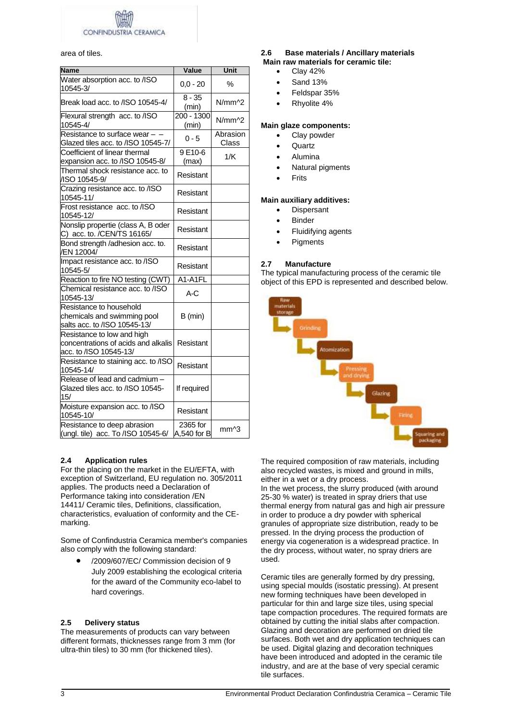**CONFINDUST** CERAMICA

## area of tiles.

| <b>Name</b>                                                                                 | Value                   | Unit                                  |
|---------------------------------------------------------------------------------------------|-------------------------|---------------------------------------|
| Water absorption acc. to /ISO<br>10545-3/                                                   | $0.0 - 20$              | ℅                                     |
| Break load acc. to /ISO 10545-4/                                                            | $8 - 35$<br>(min)       | $N/mm$ <sup><math>\land</math>2</sup> |
| Flexural strength acc. to /ISO<br>10545-4/                                                  | 200 - 1300<br>(min)     | $N/mm$ <sup><math>2</math></sup>      |
| Resistance to surface wear - -<br>Glazed tiles acc. to /ISO 10545-7/                        | $0 - 5$                 | Abrasion<br>Class                     |
| Coefficient of linear thermal<br>expansion acc. to /ISO 10545-8/                            | 9E10-6<br>(max)         | 1/K                                   |
| Thermal shock resistance acc. to<br>/ISO 10545-9/                                           | Resistant               |                                       |
| Crazing resistance acc. to /ISO<br>10545-11/                                                | Resistant               |                                       |
| Frost resistance acc. to /ISO<br>10545-12/                                                  | Resistant               |                                       |
| Nonslip propertie (class A, B oder<br>C) acc. to. /CEN/TS 16165/                            | Resistant               |                                       |
| Bond strength /adhesion acc. to.<br>/EN 12004/                                              | Resistant               |                                       |
| Impact resistance acc. to /ISO<br>10545-5/                                                  | Resistant               |                                       |
| Reaction to fire NO testing (CWT)                                                           | A1-A1FL                 |                                       |
| Chemical resistance acc. to /ISO<br>10545-13/                                               | A-C                     |                                       |
| Resistance to household<br>chemicals and swimming pool<br>salts acc. to /ISO 10545-13/      | $B$ (min)               |                                       |
| Resistance to low and high<br>concentrations of acids and alkalis<br>acc. to /ISO 10545-13/ | Resistant               |                                       |
| Resistance to staining acc. to /ISO<br>10545-14/                                            | Resistant               |                                       |
| Release of lead and cadmium -<br>Glazed tiles acc. to /ISO 10545-<br>15/                    | If required             |                                       |
| Moisture expansion acc. to /ISO<br>10545-10/                                                | Resistant               |                                       |
| Resistance to deep abrasion<br>(ungl. tile) acc. To /ISO 10545-6/                           | 2365 for<br>A,540 for B | mm <sup>^3</sup>                      |

## **2.4 Application rules**

For the placing on the market in the EU/EFTA, with exception of Switzerland, EU regulation no. 305/2011 applies. The products need a Declaration of Performance taking into consideration /EN 14411/ Ceramic tiles, Definitions, classification, characteristics, evaluation of conformity and the CEmarking.

Some of Confindustria Ceramica member's companies also comply with the following standard:

 /2009/607/EC/ Commission decision of 9 July 2009 establishing the ecological criteria for the award of the Community eco-label to hard coverings.

## **2.5 Delivery status**

The measurements of products can vary between different formats, thicknesses range from 3 mm (for ultra-thin tiles) to 30 mm (for thickened tiles).

#### **2.6 Base materials / Ancillary materials Main raw materials for ceramic tile:**

- Clay 42%
- Sand 13%
- Feldspar 35%
- Rhyolite 4%

## **Main glaze components:**

- Clay powder
- **Quartz**
- Alumina
- Natural pigments
- Frits

## **Main auxiliary additives:**

- Dispersant
- Binder
- Fluidifying agents
- **Pigments**

## **2.7 Manufacture**

The typical manufacturing process of the ceramic tile object of this EPD is represented and described below.



The required composition of raw materials, including also recycled wastes, is mixed and ground in mills, either in a wet or a dry process.

In the wet process, the slurry produced (with around 25-30 % water) is treated in spray driers that use thermal energy from natural gas and high air pressure in order to produce a dry powder with spherical granules of appropriate size distribution, ready to be pressed. In the drying process the production of energy via cogeneration is a widespread practice. In the dry process, without water, no spray driers are used.

Ceramic tiles are generally formed by dry pressing, using special moulds (isostatic pressing). At present new forming techniques have been developed in particular for thin and large size tiles, using special tape compaction procedures. The required formats are obtained by cutting the initial slabs after compaction. Glazing and decoration are performed on dried tile surfaces. Both wet and dry application techniques can be used. Digital glazing and decoration techniques have been introduced and adopted in the ceramic tile industry, and are at the base of very special ceramic tile surfaces.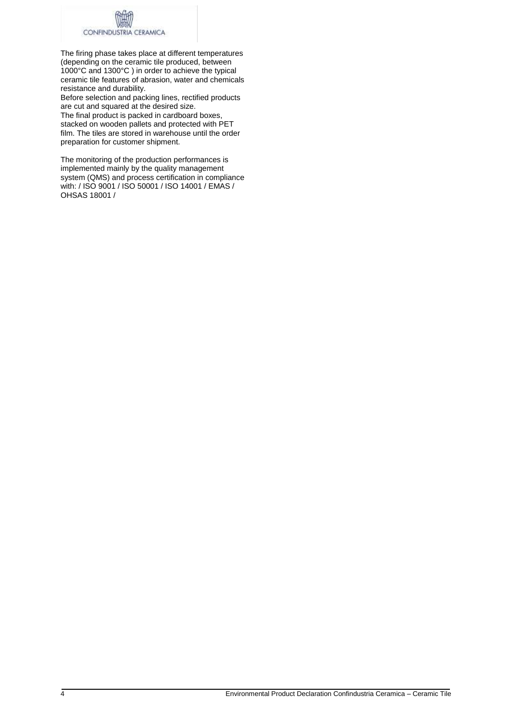

The firing phase takes place at different temperatures (depending on the ceramic tile produced, between 1000°C and 1300°C ) in order to achieve the typical ceramic tile features of abrasion, water and chemicals resistance and durability.

Before selection and packing lines, rectified products are cut and squared at the desired size.

The final product is packed in cardboard boxes, stacked on wooden pallets and protected with PET film. The tiles are stored in warehouse until the order preparation for customer shipment.

The monitoring of the production performances is implemented mainly by the quality management system (QMS) and process certification in compliance with: / ISO 9001 / ISO 50001 / ISO 14001 / EMAS / OHSAS 18001 /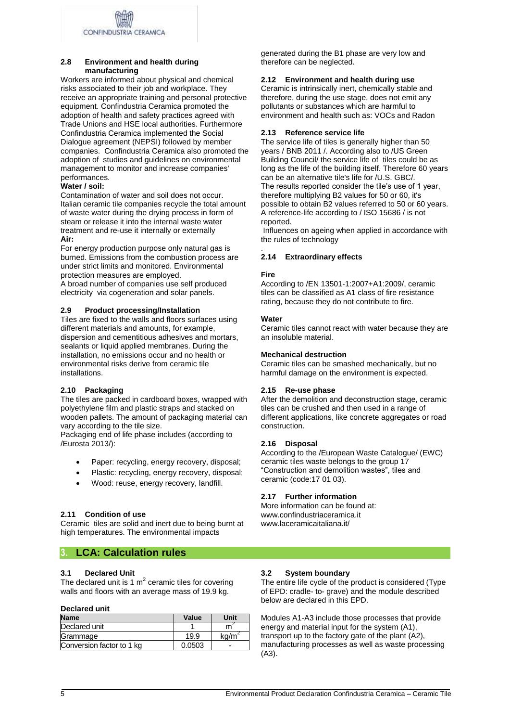## **2.8 Environment and health during manufacturing**

Workers are informed about physical and chemical risks associated to their job and workplace. They receive an appropriate training and personal protective equipment. Confindustria Ceramica promoted the adoption of health and safety practices agreed with Trade Unions and HSE local authorities. Furthermore Confindustria Ceramica implemented the Social Dialogue agreement (NEPSI) followed by member companies. Confindustria Ceramica also promoted the adoption of studies and guidelines on environmental management to monitor and increase companies' performances.

## **Water / soil:**

Contamination of water and soil does not occur. Italian ceramic tile companies recycle the total amount of waste water during the drying process in form of steam or release it into the internal waste water treatment and re-use it internally or externally **Air:**

For energy production purpose only natural gas is burned. Emissions from the combustion process are under strict limits and monitored. Environmental protection measures are employed.

A broad number of companies use self produced electricity via cogeneration and solar panels.

## **2.9 Product processing/Installation**

Tiles are fixed to the walls and floors surfaces using different materials and amounts, for example, dispersion and cementitious adhesives and mortars, sealants or liquid applied membranes. During the installation, no emissions occur and no health or environmental risks derive from ceramic tile installations.

## **2.10 Packaging**

The tiles are packed in cardboard boxes, wrapped with polyethylene film and plastic straps and stacked on wooden pallets. The amount of packaging material can vary according to the tile size.

Packaging end of life phase includes (according to /Eurosta 2013/):

- Paper: recycling, energy recovery, disposal;
- Plastic: recycling, energy recovery, disposal;
- Wood: reuse, energy recovery, landfill.

## **2.11 Condition of use**

Ceramic tiles are solid and inert due to being burnt at high temperatures. The environmental impacts

## **3. LCA: Calculation rules**

## **3.1 Declared Unit**

The declared unit is 1  $m^2$  ceramic tiles for covering walls and floors with an average mass of 19.9 kg.

## **Declared unit**

| <b>Name</b>               | Value  | Unit  |
|---------------------------|--------|-------|
| Declared unit             |        |       |
| Grammage                  | 19.9   | ka/m' |
| Conversion factor to 1 kg | 0.0503 |       |

generated during the B1 phase are very low and therefore can be neglected.

## **2.12 Environment and health during use**

Ceramic is intrinsically inert, chemically stable and therefore, during the use stage, does not emit any pollutants or substances which are harmful to environment and health such as: VOCs and Radon

## **2.13 Reference service life**

The service life of tiles is generally higher than 50 years / BNB 2011 /. According also to /US Green Building Council/ the service life of tiles could be as long as the life of the building itself. Therefore 60 years can be an alternative tile's life for /U.S. GBC/. The results reported consider the tile's use of 1 year, therefore multiplying B2 values for 50 or 60, it's possible to obtain B2 values referred to 50 or 60 years. A reference-life according to / ISO 15686 / is not reported.

Influences on ageing when applied in accordance with the rules of technology

#### . **2.14 Extraordinary effects**

## **Fire**

According to /EN 13501-1:2007+A1:2009/, ceramic tiles can be classified as A1 class of fire resistance rating, because they do not contribute to fire.

## **Water**

Ceramic tiles cannot react with water because they are an insoluble material.

## **Mechanical destruction**

Ceramic tiles can be smashed mechanically, but no harmful damage on the environment is expected.

## **2.15 Re-use phase**

After the demolition and deconstruction stage, ceramic tiles can be crushed and then used in a range of different applications, like concrete aggregates or road construction.

## **2.16 Disposal**

According to the /European Waste Catalogue/ (EWC) ceramic tiles waste belongs to the group 17 "Construction and demolition wastes", tiles and ceramic (code:17 01 03).

## **2.17 Further information**

More information can be found at: www.confindustriaceramica.it www.laceramicaitaliana.it/

## **3.2 System boundary**

The entire life cycle of the product is considered (Type of EPD: cradle- to- grave) and the module described below are declared in this EPD.

Modules A1-A3 include those processes that provide energy and material input for the system (A1), transport up to the factory gate of the plant  $(A2)$ , manufacturing processes as well as waste processing (A3).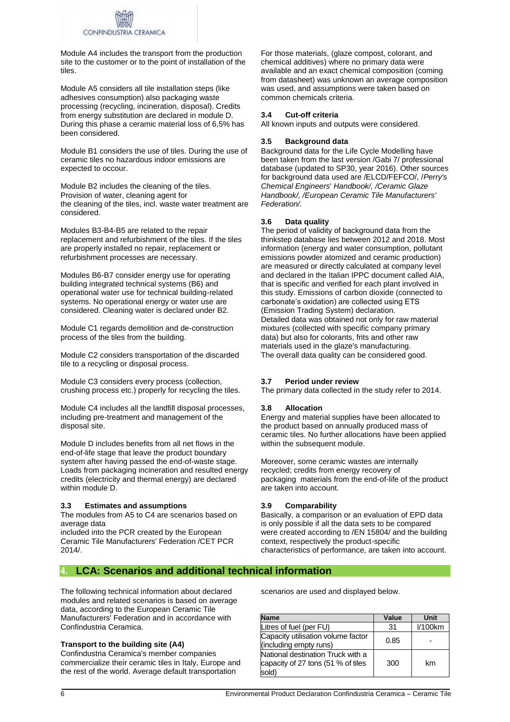

Module A4 includes the transport from the production site to the customer or to the point of installation of the tiles.

Module A5 considers all tile installation steps (like adhesives consumption) also packaging waste processing (recycling, incineration, disposal). Credits from energy substitution are declared in module D. During this phase a ceramic material loss of 6,5% has been considered.

Module B1 considers the use of tiles. During the use of ceramic tiles no hazardous indoor emissions are expected to occour.

Module B2 includes the cleaning of the tiles. Provision of water, cleaning agent for the cleaning of the tiles, incl. waste water treatment are considered.

Modules B3-B4-B5 are related to the repair replacement and refurbishment of the tiles. If the tiles are properly installed no repair, replacement or refurbishment processes are necessary.

Modules B6-B7 consider energy use for operating building integrated technical systems (B6) and operational water use for technical building-related systems. No operational energy or water use are considered. Cleaning water is declared under B2.

Module C1 regards demolition and de-construction process of the tiles from the building.

Module C2 considers transportation of the discarded tile to a recycling or disposal process.

Module C3 considers every process (collection, crushing process etc.) properly for recycling the tiles.

Module C4 includes all the landfill disposal processes, including pre-treatment and management of the disposal site.

Module D includes benefits from all net flows in the end-of-life stage that leave the product boundary system after having passed the end-of-waste stage. Loads from packaging incineration and resulted energy credits (electricity and thermal energy) are declared within module D.

## **3.3 Estimates and assumptions**

The modules from A5 to C4 are scenarios based on average data

included into the PCR created by the European Ceramic Tile Manufacturers' Federation /CET PCR 2014/.

For those materials, (glaze compost, colorant, and chemical additives) where no primary data were available and an exact chemical composition (coming from datasheet) was unknown an average composition was used, and assumptions were taken based on common chemicals criteria.

## **3.4 Cut-off criteria**

All known inputs and outputs were considered.

## **3.5 Background data**

Background data for the Life Cycle Modelling have been taken from the last version /Gabi 7/ professional database (updated to SP30, year 2016). Other sources for background data used are /ELCD/FEFCO/, /*Perry's Chemical Engineers*' *Handbook/, /Ceramic Glaze Handbook/, /European Ceramic Tile Manufacturers' Federation/.* 

## **3.6 Data quality**

The period of validity of background data from the thinkstep database lies between 2012 and 2018. Most information (energy and water consumption, pollutant emissions powder atomized and ceramic production) are measured or directly calculated at company level and declared in the Italian IPPC document called AIA, that is specific and verified for each plant involved in this study. Emissions of carbon dioxide (connected to carbonate's oxidation) are collected using ETS (Emission Trading System) declaration. Detailed data was obtained not only for raw material mixtures (collected with specific company primary data) but also for colorants, frits and other raw materials used in the glaze's manufacturing. The overall data quality can be considered good.

## **3.7 Period under review**

The primary data collected in the study refer to 2014.

## **3.8 Allocation**

Energy and material supplies have been allocated to the product based on annually produced mass of ceramic tiles. No further allocations have been applied within the subsequent module.

Moreover, some ceramic wastes are internally recycled; credits from energy recovery of packaging materials from the end-of-life of the product are taken into account.

## **3.9 Comparability**

Basically, a comparison or an evaluation of EPD data is only possible if all the data sets to be compared were created according to /EN 15804/ and the building context, respectively the product-specific characteristics of performance, are taken into account.

## **4. LCA: Scenarios and additional technical information**

The following technical information about declared modules and related scenarios is based on average data, according to the European Ceramic Tile Manufacturers' Federation and in accordance with Confindustria Ceramica.

## **Transport to the building site (A4)**

Confindustria Ceramica's member companies commercialize their ceramic tiles in Italy, Europe and the rest of the world. Average default transportation

scenarios are used and displayed below.

| <b>Name</b>                                                                      | Value | Unit       |
|----------------------------------------------------------------------------------|-------|------------|
| Litres of fuel (per FU)                                                          | 31    | $1/100$ km |
| Capacity utilisation volume factor<br>(including empty runs)                     | 0.85  |            |
| National destination Truck with a<br>capacity of 27 tons (51 % of tiles<br>sold) | 300   | km         |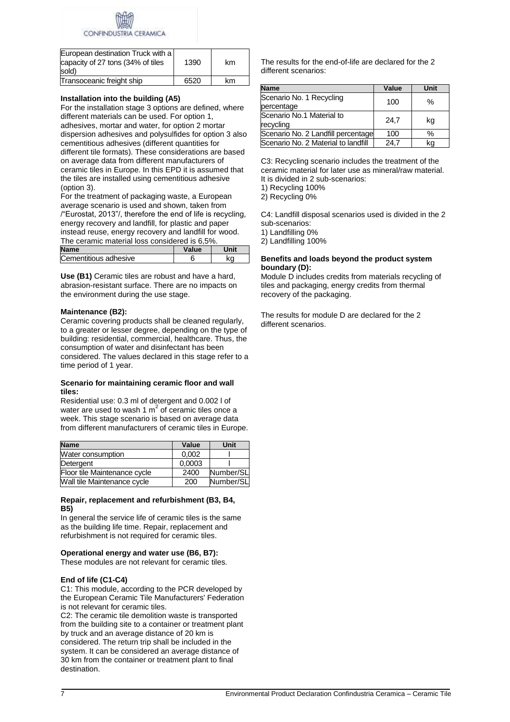

| European destination Truck with a<br>capacity of 27 tons (34% of tiles<br>sold) | 1390 | km |
|---------------------------------------------------------------------------------|------|----|
| Transoceanic freight ship                                                       | 6520 | km |

## **Installation into the building (A5)**

For the installation stage 3 options are defined, where different materials can be used. For option 1, adhesives, mortar and water, for option 2 mortar dispersion adhesives and polysulfides for option 3 also cementitious adhesives (different quantities for different tile formats). These considerations are based on average data from different manufacturers of ceramic tiles in Europe. In this EPD it is assumed that the tiles are installed using cementitious adhesive (option 3).

For the treatment of packaging waste, a European average scenario is used and shown, taken from /"Eurostat, 2013"/, therefore the end of life is recycling, energy recovery and landfill, for plastic and paper instead reuse, energy recovery and landfill for wood. The ceramic material loss considered is 6,5%.

| <b>Name</b>           | Value | Unit |
|-----------------------|-------|------|
| Cementitious adhesive |       | kσ   |
|                       |       |      |

**Use (B1)** Ceramic tiles are robust and have a hard, abrasion-resistant surface. There are no impacts on the environment during the use stage.

## **Maintenance (B2):**

Ceramic covering products shall be cleaned regularly, to a greater or lesser degree, depending on the type of building: residential, commercial, healthcare. Thus, the consumption of water and disinfectant has been considered. The values declared in this stage refer to a time period of 1 year.

## **Scenario for maintaining ceramic floor and wall tiles:**

Residential use: 0.3 ml of detergent and 0.002 l of water are used to wash 1  $m^2$  of ceramic tiles once a week. This stage scenario is based on average data from different manufacturers of ceramic tiles in Europe.

| <b>Name</b>                  | Value  | Unit      |
|------------------------------|--------|-----------|
| Water consumption            | 0.002  |           |
| Detergent                    | 0,0003 |           |
| Floor tile Maintenance cycle | 2400   | Number/SL |
| Wall tile Maintenance cycle  | 200    | Number/SL |

## **Repair, replacement and refurbishment (B3, B4, B5)**

In general the service life of ceramic tiles is the same as the building life time. Repair, replacement and refurbishment is not required for ceramic tiles.

## **Operational energy and water use (B6, B7):**

These modules are not relevant for ceramic tiles.

## **End of life (C1-C4)**

C1: This module, according to the PCR developed by the European Ceramic Tile Manufacturers' Federation is not relevant for ceramic tiles.

C2: The ceramic tile demolition waste is transported from the building site to a container or treatment plant by truck and an average distance of 20 km is considered. The return trip shall be included in the system. It can be considered an average distance of 30 km from the container or treatment plant to final destination.

The results for the end-of-life are declared for the 2 different scenarios:

| <b>Name</b>                            | Value | <b>Unit</b> |
|----------------------------------------|-------|-------------|
| Scenario No. 1 Recycling<br>percentage | 100   | ℅           |
| Scenario No.1 Material to<br>recycling | 24.7  | kg          |
| Scenario No. 2 Landfill percentage     | 100   | $\%$        |
| Scenario No. 2 Material to landfill    | 24.7  | kq          |

C3: Recycling scenario includes the treatment of the ceramic material for later use as mineral/raw material. It is divided in 2 sub-scenarios:

1) Recycling 100%

2) Recycling 0%

C4: Landfill disposal scenarios used is divided in the 2 sub-scenarios:

1) Landfilling 0%

2) Landfilling 100%

## **Benefits and loads beyond the product system boundary (D):**

Module D includes credits from materials recycling of tiles and packaging, energy credits from thermal recovery of the packaging.

The results for module D are declared for the 2 different scenarios.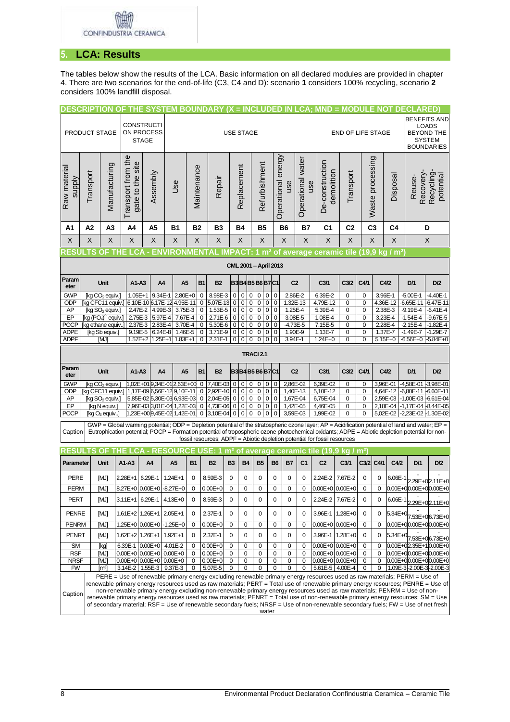## **5. LCA: Results**

The tables below show the results of the LCA. Basic information on all declared modules are provided in chapter 4. There are two scenarios for the end-of-life (C3, C4 and D): scenario **1** considers 100% recycling, scenario **2** considers 100% landfill disposal.

|                               |                       | <u>DESCRIPTION OF THE SYSTEM BOUNDARY (X = INCLUDED IN LCA; MND = MODULE NOT DECLARED)</u>                      |  |                                                          |                    |           |                                              |                        |                            |                               |                     |                             |                  |                             |                          |                         |                   |                                                                                                                                                                                                                                                                                                                                                                                 |                          |                  |                    |                      |                                                |                                                    |
|-------------------------------|-----------------------|-----------------------------------------------------------------------------------------------------------------|--|----------------------------------------------------------|--------------------|-----------|----------------------------------------------|------------------------|----------------------------|-------------------------------|---------------------|-----------------------------|------------------|-----------------------------|--------------------------|-------------------------|-------------------|---------------------------------------------------------------------------------------------------------------------------------------------------------------------------------------------------------------------------------------------------------------------------------------------------------------------------------------------------------------------------------|--------------------------|------------------|--------------------|----------------------|------------------------------------------------|----------------------------------------------------|
|                               |                       |                                                                                                                 |  | <b>CONSTRUCTI</b>                                        |                    |           |                                              |                        |                            |                               |                     |                             |                  |                             |                          |                         |                   |                                                                                                                                                                                                                                                                                                                                                                                 |                          |                  |                    |                      |                                                | <b>BENEFITS AND</b>                                |
|                               | PRODUCT STAGE         |                                                                                                                 |  | ON PROCESS                                               |                    |           |                                              |                        |                            | <b>USE STAGE</b>              |                     |                             |                  |                             |                          |                         |                   |                                                                                                                                                                                                                                                                                                                                                                                 | <b>END OF LIFE STAGE</b> |                  |                    |                      |                                                | <b>LOADS</b><br><b>BEYOND THE</b><br><b>SYSTEM</b> |
|                               |                       |                                                                                                                 |  | <b>STAGE</b>                                             |                    |           |                                              |                        |                            |                               |                     |                             |                  |                             |                          |                         |                   | <b>BOUNDARIES</b>                                                                                                                                                                                                                                                                                                                                                               |                          |                  |                    |                      |                                                |                                                    |
| Raw material<br><b>Alddns</b> | Transport             | Manufacturing                                                                                                   |  | Transport from the<br>gate to the site                   | Assembly           | Use       |                                              | Maintenance            | Repair                     |                               | Replacement         |                             |                  | Refurbishment               | Operational energy       | use                     | Operational water | De-construction<br>demolition<br>use                                                                                                                                                                                                                                                                                                                                            | Transport                |                  | Waste processing   | Disposal             | Recovery-<br>Reuse-                            | Recycling<br>potential                             |
| A1                            | A2                    | A <sub>3</sub>                                                                                                  |  | A4                                                       | A <sub>5</sub>     | <b>B1</b> |                                              | <b>B2</b>              | <b>B3</b>                  |                               | <b>B4</b>           |                             | <b>B5</b>        |                             |                          | <b>B6</b>               | <b>B7</b>         | C <sub>1</sub>                                                                                                                                                                                                                                                                                                                                                                  | C <sub>2</sub>           |                  | C <sub>3</sub>     | C <sub>4</sub>       |                                                | D                                                  |
| X                             | X                     | X                                                                                                               |  | X                                                        | X                  | X         |                                              | X                      | X                          |                               | X                   |                             |                  | X                           |                          | X                       | X                 | X                                                                                                                                                                                                                                                                                                                                                                               | X                        |                  | X                  | X                    |                                                | X                                                  |
|                               |                       |                                                                                                                 |  |                                                          |                    |           |                                              |                        |                            |                               |                     |                             |                  |                             |                          |                         |                   | RESULTS OF THE LCA - ENVIRONMENTAL IMPACT: 1 m² of average ceramic tile (19,9 kg / m²)                                                                                                                                                                                                                                                                                          |                          |                  |                    |                      |                                                |                                                    |
|                               | CML 2001 - April 2013 |                                                                                                                 |  |                                                          |                    |           |                                              |                        |                            |                               |                     |                             |                  |                             |                          |                         |                   |                                                                                                                                                                                                                                                                                                                                                                                 |                          |                  |                    |                      |                                                |                                                    |
| Param<br>eter                 |                       | Unit                                                                                                            |  | A1-A3                                                    |                    | A4        | A5                                           | B1                     | <b>B2</b>                  |                               |                     |                             |                  |                             | <b>B3B4B5B6B7C1</b>      | C <sub>2</sub>          |                   | C <sub>3/1</sub>                                                                                                                                                                                                                                                                                                                                                                | C <sub>3/2</sub>         | C4/1             | C4/2               |                      | D/1                                            | D/2                                                |
| <b>GWP</b>                    |                       | [kg CO <sub>2</sub> equiv.]                                                                                     |  | $1.05E + 1$                                              | 9.34E-1            |           | $2.80E + 0$                                  | 0                      | 8.98E-3                    | 0                             | 0                   | $\mathbf 0$                 | 0                | $\mathbf 0$                 | 0                        | 2.86E-2                 |                   | 6.39E-2                                                                                                                                                                                                                                                                                                                                                                         | 0                        | 0                | 3.96E-1            |                      | $-5.00E - 1$                                   | $-4.40E-1$                                         |
| ODP<br>AP                     |                       | [kg CFC11 equiv.]<br>$\overline{[kg SO}_2$ equiv.                                                               |  | 2.47E-2                                                  | 4.99E-3            |           | 6.10E-10 6.17E-12 4.95E-11<br>3.75E-3        | 0<br>0                 | 5.07E-13<br>1.53E-5        | $\mathbf 0$<br>0              | 0<br>0              | $\overline{0}$<br>$\pmb{0}$ | 0<br>0           | $\mathbf 0$<br>0            | $\pmb{0}$<br>0           | 1.32E-13<br>1.25E-4     |                   | 4.79E-12<br>5.39E-4                                                                                                                                                                                                                                                                                                                                                             | 0<br>0                   | 0<br>0           | 2.38E-3            | 4.36E-12             | -6.65E-11 -6.47E-11<br>$-9.19E - 4$            | $-6.41E - 4$                                       |
| EP                            |                       | $[kg (PO4)3$ equiv.                                                                                             |  | 2.75E-3 5.97E-4                                          |                    |           | 7.67E-4                                      | $\pmb{0}$              | 2.71E-6                    | 0                             | 0                   | $\overline{0}$              | 0                | $\mathbf 0$                 | 0                        | 3.08E-5                 |                   | 1.08E-4                                                                                                                                                                                                                                                                                                                                                                         | 0                        | 0                |                    | 3.23E-4              | -1.54E-4                                       | $-9.67E - 5$                                       |
| <b>POCP</b><br><b>ADPE</b>    |                       | [kg ethane equiv<br>[kg Sb equiv.]                                                                              |  | 2.37E-3<br>9.19E-5                                       | 2.83E-4<br>6.24E-8 |           | 3.70E-4<br>1.46E-5                           | $\pmb{0}$<br>$\pmb{0}$ | 5.30E-6<br>3.71E-9         | $\mathbf 0$<br>$\overline{0}$ | $\pmb{0}$<br>0      | $\pmb{0}$<br>$\overline{0}$ | 0<br>0           | $\pmb{0}$<br>$\overline{0}$ | $\mathbf 0$<br>$\pmb{0}$ | $-4.73E - 5$<br>1.90E-9 |                   | 7.15E-5<br>1.13E-7                                                                                                                                                                                                                                                                                                                                                              | 0<br>0                   | $\mathbf 0$<br>0 | 2.28E-4<br>1.37E-7 |                      | $-2.15E - 4$<br>$-1.49E - 7$                   | $-1.82E - 4$<br>$-1.29E - 7$                       |
| <b>ADPF</b>                   |                       | <b>MJI</b>                                                                                                      |  | $1.57E + 2$                                              | $1.25E + 1$        |           | $1.83E+1$                                    | $\mathbf 0$            | 2.31E-1                    | $\overline{0}$                | 0                   | 0                           | 0                | 0                           | 0                        | 3.94E-1                 |                   | $1.24E + 0$                                                                                                                                                                                                                                                                                                                                                                     | 0                        | 0                |                    | 5.15E+0              | $-6.56E + 0$                                   | $-5.84E + 0$                                       |
|                               |                       |                                                                                                                 |  |                                                          |                    |           |                                              |                        |                            |                               |                     |                             | <b>TRACI 2.1</b> |                             |                          |                         |                   |                                                                                                                                                                                                                                                                                                                                                                                 |                          |                  |                    |                      |                                                |                                                    |
| Param<br>eter                 |                       | <b>Unit</b>                                                                                                     |  | A1-A3                                                    |                    | A4        | A5                                           | <b>B1</b>              | <b>B2</b>                  |                               | <b>B3B4B5B6B7C1</b> |                             |                  |                             |                          | C <sub>2</sub>          | C <sub>3/1</sub>  |                                                                                                                                                                                                                                                                                                                                                                                 | C <sub>3/2</sub>         | C4/1             | C4/2               |                      | D/1                                            | D/2                                                |
| <b>GWP</b>                    |                       | [kg CO <sub>2</sub> equiv.]                                                                                     |  |                                                          |                    |           | 1,02E+019,34E-012,63E+00                     | 0                      | 7,40E-03                   | 0                             | 0                   | 0                           | 0                | 0                           | 0                        | 2,86E-02                |                   | 6,39E-02                                                                                                                                                                                                                                                                                                                                                                        | 0                        | 0                |                    | 3,96E-01             | -4,58E-01 -3,98E-01                            |                                                    |
| ODP                           |                       | [kg CFC11 equiv.]                                                                                               |  |                                                          |                    |           | 1,17E-09 6,56E-12 9,10E-11<br>$\pmb{0}$<br>0 |                        | 2.92E-10                   | $\pmb{0}$<br>0                |                     | $\pmb{0}$                   | 0                | $\pmb{0}$                   | 0                        | 1,40E-13                |                   | 5,10E-12                                                                                                                                                                                                                                                                                                                                                                        | 0                        | 0                |                    | 4,64E-12             | -6,80E-11 -6,60E-11                            |                                                    |
| AP<br>EP                      |                       | [kg SO <sub>2</sub> equiv.]<br>[kg N equiv.]                                                                    |  | 5,85E-02 5,30E-03 6,93E-03<br>7,96E-03 3,01E-04 1,22E-03 |                    |           |                                              |                        | 2,04E-05<br>4,73E-06       | 0<br>0                        | 0<br>0              | 0<br>0                      | 0<br>0           | 0<br>0                      | $\mathbf 0$<br>$\pmb{0}$ | 1,67E-04<br>1,42E-05    |                   | 6,75E-04<br>4,46E-05                                                                                                                                                                                                                                                                                                                                                            | 0<br>0                   | 0<br>0           |                    | 2,59E-03<br>2,18E-04 | -1,00E-03 -6,61E-04<br>$-1,17E-04$ $-8,44E-05$ |                                                    |
| <b>POCP</b>                   |                       | [kg O <sub>3</sub> equiv.                                                                                       |  |                                                          |                    |           | 1,23E+009,45E-02 1,42E-01                    | 0<br>0                 | 3,10E-04                   | 0                             | 0                   | 0                           | 0                | 0                           | 0                        | 3,59E-03                |                   | 1,99E-02                                                                                                                                                                                                                                                                                                                                                                        | 0                        | 0                |                    | 5,02E-02             | $-2,23E-02$                                    | $-1,30E-02$                                        |
| Caption                       |                       |                                                                                                                 |  |                                                          |                    |           |                                              |                        |                            |                               |                     |                             |                  |                             |                          |                         |                   | GWP = Global warming potential; ODP = Depletion potential of the stratospheric ozone layer; AP = Acidification potential of land and water; EP =<br>Eutrophication potential; POCP = Formation potential of tropospheric ozone photochemical oxidants; ADPE = Abiotic depletion potential for non-<br>fossil resources; ADPF = Abiotic depletion potential for fossil resources |                          |                  |                    |                      |                                                |                                                    |
|                               |                       |                                                                                                                 |  |                                                          |                    |           |                                              |                        |                            |                               |                     |                             |                  |                             |                          |                         |                   | RESULTS OF THE LCA - RESOURCE USE: 1 m <sup>2</sup> of average ceramic tile (19,9 kg / m <sup>2</sup> )                                                                                                                                                                                                                                                                         |                          |                  |                    |                      |                                                |                                                    |
| Parameter                     |                       | Unit                                                                                                            |  | $A1-A3$                                                  | A <sub>4</sub>     | A5        | <b>B1</b>                                    |                        | <b>B2</b>                  | <b>B3</b>                     |                     | <b>B4</b>                   | <b>B5</b>        |                             | <b>B6</b>                | <b>B7</b>               | C <sub>1</sub>    | C <sub>2</sub>                                                                                                                                                                                                                                                                                                                                                                  | C <sub>3/1</sub>         |                  | C3/2 C4/1          | C4/2                 | D/1                                            | D/2                                                |
| <b>PERE</b>                   |                       | [MJ]                                                                                                            |  | 2.28E+1                                                  | 6.29E-1            | 1.24E+1   | 0                                            |                        | 8.59E-3                    | 0                             |                     | 0                           | 0                |                             | $\mathbf 0$              | 0                       | 0                 | 2.24E-2                                                                                                                                                                                                                                                                                                                                                                         | 7.67E-2                  | $\mathbf 0$      | $\pmb{0}$          | 6.06E-1              |                                                |                                                    |
| PERM                          |                       | [MJ]                                                                                                            |  | 8.27E+0 0.00E+0 -8.27E+0                                 |                    |           | 0                                            |                        | $0.00E + 0$                | 0                             |                     | 0                           | 0                |                             | 0                        | 0                       | 0                 | $0.00E+0$ 0.00E+0                                                                                                                                                                                                                                                                                                                                                               |                          | 0                | 0                  |                      | 0.00E+00.00E+00.00E+0                          | 2.29E+02.11E+0                                     |
| <b>PERT</b>                   |                       | [MJ]                                                                                                            |  | 3.11E+1 6.29E-1 4.13E+0                                  |                    |           | $\Omega$                                     |                        | 8.59E-3                    | $\mathbf 0$                   |                     | 0                           | $\mathbf 0$      |                             | $\mathbf 0$              | $\mathbf 0$             | $\mathbf 0$       | 2.24E-2 7.67E-2                                                                                                                                                                                                                                                                                                                                                                 |                          | 0                | 0                  | 6.06E-1              |                                                | 2.29E+02.11E+0                                     |
| <b>PENRE</b>                  |                       | [MJ]                                                                                                            |  | 1.61E+2 1.26E+1 2.05E+1                                  |                    |           | 0                                            |                        | 2.37E-1                    | 0                             |                     | 0                           | 0                |                             | $\mathbf 0$              | 0                       | 0                 | 3.96E-1                                                                                                                                                                                                                                                                                                                                                                         | 1.28E+0                  | $\pmb{0}$        | 0                  | 5.34E+0              |                                                | 7.53E+06.73E+0                                     |
| <b>PENRM</b>                  |                       | [MJ]                                                                                                            |  | 1.25E+0 0.00E+0 -1.25E+0                                 |                    |           | $\mathbf 0$                                  |                        | $0.00E + 0$                | 0                             |                     | $\pmb{0}$                   | 0                |                             | 0                        | 0                       | 0                 | $0.00E+0$ $0.00E+0$                                                                                                                                                                                                                                                                                                                                                             |                          | 0                | 0                  |                      | 0.00E+00.00E+00.00E+0                          |                                                    |
| <b>PENRT</b>                  |                       | [MJ]                                                                                                            |  | 1.62E+2 1.26E+1 1.92E+1                                  |                    |           | 0                                            |                        | 2.37E-1                    | 0                             |                     | 0                           | 0                |                             | $\mathbf 0$              | $\pmb{0}$               | $\mathbf 0$       | 3.96E-1 1.28E+0                                                                                                                                                                                                                                                                                                                                                                 |                          | 0                | 0                  | 5.34E+0              |                                                | 7.53E+06.73E+0                                     |
| <b>SM</b><br>RSF              |                       | [kg]<br>[MJ]                                                                                                    |  | 6.39E-1 0.00E+0 4.01E-2                                  |                    |           | 0<br>$\mathbf 0$                             |                        | $0.00E + 0$<br>$0.00E + 0$ | 0<br>0                        |                     | 0<br>0                      | 0<br>0           |                             | 0<br>$\mathbf 0$         | 0<br>0                  | 0<br>0            | $0.00E+0$ 0.00E+0<br>$0.00E+0$ 0.00E+0                                                                                                                                                                                                                                                                                                                                          |                          | 0<br>$\pmb{0}$   | 0<br>0             |                      | 0.00E+02.35E+10.00E+0<br>0.00E+00.00E+00.00E+0 |                                                    |
| <b>NRSF</b>                   |                       | $0.00E+0$ 0.00E+0 0.00E+0<br>$0.00E+0$ 0.00E+0 0.00E+0<br>$0.00E + 0$<br>0<br>0<br>0<br>imj<br>0<br>0<br>0<br>0 |  |                                                          |                    |           | $0.00E+0$ 0.00E+0                            |                        | 0                          | 0                             |                     | 0.00E+00.00E+00.00E+0       |                  |                             |                          |                         |                   |                                                                                                                                                                                                                                                                                                                                                                                 |                          |                  |                    |                      |                                                |                                                    |
| <b>FW</b>                     |                       | [m3]                                                                                                            |  | 3.14E-2 1.55E-3 9.37E-3                                  |                    |           | 0                                            |                        | 5.07E-5                    | 0                             |                     | 0                           | 0                |                             | $\mathbf 0$              | 0                       | 0                 | 5.61E-5 4.00E-4                                                                                                                                                                                                                                                                                                                                                                 |                          | 0                | 0                  |                      | 1.09E-3-2.00E-3-2.00E-3                        |                                                    |
|                               |                       |                                                                                                                 |  |                                                          |                    |           |                                              |                        |                            |                               |                     |                             |                  |                             |                          |                         |                   | PERE = Use of renewable primary energy excluding renewable primary energy resources used as raw materials; PERM = Use of<br>renewable primary energy resources used as raw materials; PERT = Total use of renewable primary energy resources; PENRE = Use of                                                                                                                    |                          |                  |                    |                      |                                                |                                                    |
| Caption                       |                       |                                                                                                                 |  |                                                          |                    |           |                                              |                        |                            |                               |                     |                             |                  |                             |                          |                         |                   | non-renewable primary energy excluding non-renewable primary energy resources used as raw materials; PENRM = Use of non-<br>renewable primary energy resources used as raw materials; PENRT = Total use of non-renewable primary energy resources; SM = Use                                                                                                                     |                          |                  |                    |                      |                                                |                                                    |
|                               |                       |                                                                                                                 |  |                                                          |                    |           |                                              |                        |                            |                               |                     |                             |                  | water                       |                          |                         |                   | of secondary material; RSF = Use of renewable secondary fuels; NRSF = Use of non-renewable secondary fuels; FW = Use of net fresh                                                                                                                                                                                                                                               |                          |                  |                    |                      |                                                |                                                    |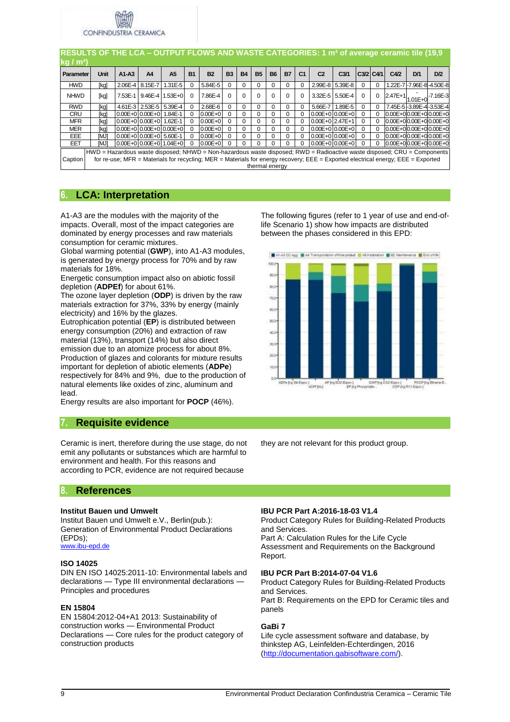

|                   | RESULTS OF THE LCA – OUTPUT FLOWS AND WASTE CATEGORIES: 1 m <sup>2</sup> of average ceramic tile (19,9                  |                         |                         |                |           |                                                                                                                                  |           |           |                |           |           |                |                      |                     |           |          |      |                                              |                                 |
|-------------------|-------------------------------------------------------------------------------------------------------------------------|-------------------------|-------------------------|----------------|-----------|----------------------------------------------------------------------------------------------------------------------------------|-----------|-----------|----------------|-----------|-----------|----------------|----------------------|---------------------|-----------|----------|------|----------------------------------------------|---------------------------------|
| kg/m <sup>2</sup> |                                                                                                                         |                         |                         |                |           |                                                                                                                                  |           |           |                |           |           |                |                      |                     |           |          |      |                                              |                                 |
| Parameter         | <b>Unit</b>                                                                                                             | $A1-A3$                 | A4                      | A <sub>5</sub> | <b>B1</b> | <b>B2</b>                                                                                                                        | <b>B3</b> | <b>B4</b> | <b>B5</b>      | <b>B6</b> | <b>B7</b> | C <sub>1</sub> | C <sub>2</sub>       | C <sub>3/1</sub>    | C3/2 C4/1 |          | C4/2 | D/1                                          | D/2                             |
| <b>HWD</b>        | [kg]                                                                                                                    | 2.06E-4 8.15E-7         |                         | $1.31E - 5$    | $\Omega$  | 5.84E-5                                                                                                                          | 0         | 0         | 0              | $\Omega$  | $\Omega$  | $\mathbf 0$    |                      | 2.99E-8 5.39E-8     | $\Omega$  | $\Omega$ |      |                                              | 1.22E-7l-7.96E-8l-4.50E-8       |
| <b>NHWD</b>       | [kg]                                                                                                                    | 7.53E-1                 | 9.46E-4 1.53E+0         |                | $\Omega$  | 7.86E-4                                                                                                                          | 0         | $\Omega$  | 0              | $\Omega$  | $\Omega$  | $\Omega$       |                      | 3.32E-5 5.50E-4     | $\Omega$  | $\Omega$ |      | $2.47E+1$ <sub>1.01</sub> $E+0$ <sup>*</sup> | $-7.16E-3$                      |
| <b>RWD</b>        | [kg]                                                                                                                    |                         | 4.61E-3 2.53E-5 5.39E-4 |                | $\Omega$  | 2.68E-6                                                                                                                          | $\Omega$  | $\Omega$  | 0              | $\Omega$  | $\Omega$  | $\mathbf 0$    | 5.66E-7              | $1.89E - 5$         | $\Omega$  | $\Omega$ |      | 7.45E-5I-3.89E-4I-3.53E-4                    |                                 |
| <b>CRU</b>        | [kg]                                                                                                                    | 0.00E+010.00E+011.84E-1 |                         |                | $\Omega$  | $0.00E + 0$                                                                                                                      | $\Omega$  | $\Omega$  | 0              | $\Omega$  | $\Omega$  | $\Omega$       |                      | $0.00E + 0.00E + 0$ | $\Omega$  | 0        |      |                                              | $0.00E + 0.00E + 0.00E + 0.00E$ |
| <b>MFR</b>        | [kg]                                                                                                                    | 0.00E+0 0.00E+0 1.62E-1 |                         |                | $\Omega$  | $0.00E + 0$                                                                                                                      | $\Omega$  | $\Omega$  | 0              | $\Omega$  | $\Omega$  | $\Omega$       | $0.00E + 0.247E + 1$ |                     | $\Omega$  | $\Omega$ |      |                                              | $0.00E + 0.00E + 0.00E + 0.00E$ |
| <b>MER</b>        | [kg]                                                                                                                    | $0.00E+0.00E+0.00E+0$   |                         |                | $\Omega$  | $0.00E + 0$                                                                                                                      | $\Omega$  | $\Omega$  | 0              |           | $\Omega$  | $\Omega$       |                      | $0.00E + 0.00E + 0$ | 0         | $\Omega$ |      |                                              | $0.00E + 0.00E + 0.00E + 0.00E$ |
| <b>EEE</b>        | [MJ]                                                                                                                    | 0.00E+0 0.00E+0 5.60E-1 |                         |                | $\Omega$  | $0.00E + 0$                                                                                                                      | $\Omega$  | 0         | 0              | 0         | 0         | 0              |                      | $0.00E + 0.00E + 0$ | $\Omega$  | 0        |      |                                              | $0.00E + 0.00E + 0.00E + 0.00E$ |
| EET               | [MJ]                                                                                                                    | 0.00E+0 0.00E+0 1.04E+0 |                         |                | $\Omega$  | $0.00E + 0$                                                                                                                      | $\Omega$  | 0         | 0              | $\Omega$  | $\Omega$  |                |                      | $0.00E + 0.00E + 0$ | 0         | $\Omega$ |      |                                              | $0.00E + 0.00E + 0.00E + 0.00E$ |
| Caption           | HWD = Hazardous waste disposed; NHWD = Non-hazardous waste disposed; RWD = Radioactive waste disposed; CRU = Components |                         |                         |                |           | for re-use; MFR = Materials for recycling; MER = Materials for energy recovery; EEE = Exported electrical energy; EEE = Exported |           |           | thermal energy |           |           |                |                      |                     |           |          |      |                                              |                                 |

## **6. LCA: Interpretation**

A1-A3 are the modules with the majority of the impacts. Overall, most of the impact categories are dominated by energy processes and raw materials consumption for ceramic mixtures.

Global warming potential (**GWP**), into A1-A3 modules, is generated by energy process for 70% and by raw materials for 18%.

Energetic consumption impact also on abiotic fossil depletion (**ADPEf**) for about 61%.

The ozone layer depletion (**ODP**) is driven by the raw materials extraction for 37%, 33% by energy (mainly electricity) and 16% by the glazes.

Eutrophication potential (**EP**) is distributed between energy consumption (20%) and extraction of raw material (13%), transport (14%) but also direct emission due to an atomize process for about 8%. Production of glazes and colorants for mixture results important for depletion of abiotic elements (**ADPe**) respectively for 84% and 9%, due to the production of natural elements like oxides of zinc, aluminum and lead.

Energy results are also important for **POCP** (46%).

## **7. Requisite evidence**

Ceramic is inert, therefore during the use stage, do not emit any pollutants or substances which are harmful to environment and health. For this reasons and according to PCR, evidence are not required because

**8. References**

## **Institut Bauen und Umwelt**

Institut Bauen und Umwelt e.V., Berlin(pub.): Generation of Environmental Product Declarations (EPDs); [www.ibu-epd.de](http://www.bau-umwelt.de/)

## **ISO 14025**

DIN EN ISO 14025:2011-10: Environmental labels and declarations — Type III environmental declarations — Principles and procedures

## **EN 15804**

EN 15804:2012-04+A1 2013: Sustainability of construction works — Environmental Product Declarations — Core rules for the product category of construction products

The following figures (refer to 1 year of use and end-oflife Scenario 1) show how impacts are distributed between the phases considered in this EPD:





they are not relevant for this product group.

## **IBU PCR Part A:2016-18-03 V1.4**

Product Category Rules for Building-Related Products and Services.

Part A: Calculation Rules for the Life Cycle Assessment and Requirements on the Background Report.

#### **IBU PCR Part B:2014-07-04 V1.6**

Product Category Rules for Building-Related Products and Services.

Part B: Requirements on the EPD for Ceramic tiles and panels

## **GaBi 7**

Life cycle assessment software and database, by thinkstep AG, Leinfelden-Echterdingen, 2016 [\(http://documentation.gabisoftware.com/\)](http://documentation.gabisoftware.com/).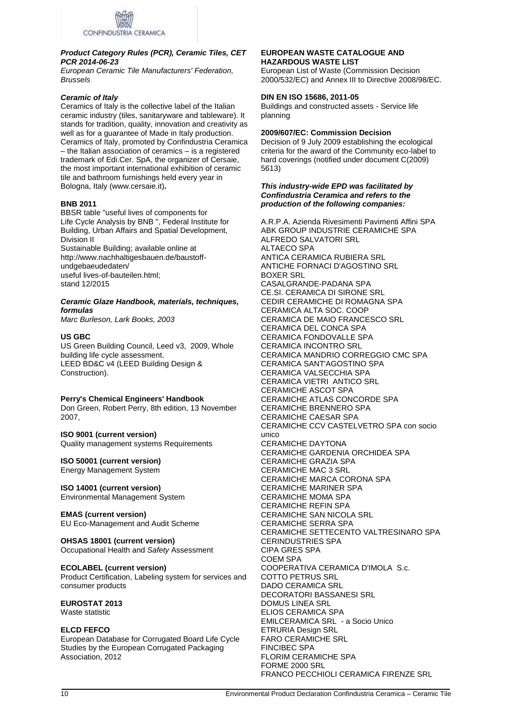

## *Product Category Rules (PCR), Ceramic Tiles, CET PCR 2014-06-23*

*European Ceramic Tile Manufacturers' Federation, Brussels* 

## *Ceramic of Italy*

Ceramics of Italy is the collective label of the Italian ceramic industry (tiles, sanitaryware and tableware). It stands for tradition, quality, innovation and creativity as well as for a guarantee of Made in Italy production. Ceramics of Italy, promoted by Confindustria Ceramica – the Italian association of ceramics – is a registered trademark of Edi.Cer. SpA, the organizer of Cersaie, the most important international exhibition of ceramic tile and bathroom furnishings held every year in Bologna, Italy (www.cersaie.it)**.**

## **BNB 2011**

BBSR table "useful lives of components for Life Cycle Analysis by BNB ", Federal Institute for Building, Urban Affairs and Spatial Development, Division II

Sustainable Building; available online at http://www.nachhaltigesbauen.de/baustoffundgebaeudedaten/ useful lives-of-bauteilen.html; stand 12/2015

## *Ceramic Glaze Handbook, materials, techniques, formulas*

*Marc Burleson, Lark Books, 2003* 

## **US GBC**

US Green Building Council, Leed v3, 2009, Whole building life cycle assessment. LEED BD&C v4 (LEED Building Design & Construction).

**Perry's Chemical Engineers' Handbook** Don Green, Robert Perry, 8th edition, 13 November 2007,

## **ISO 9001 (current version)**

Quality management systems Requirements

## **ISO 50001 (current version)**

Energy Management System

**ISO 14001 (current version)** Environmental Management System

**EMAS (current version)** EU Eco-Management and Audit Scheme

#### **OHSAS 18001 (current version)** Occupational Health and *Safety* Assessment

**ECOLABEL (current version)** Product Certification, Labeling system for services and consumer products

#### **EUROSTAT 2013**  Waste statistic

## **ELCD FEFCO**

European Database for Corrugated Board Life Cycle Studies by the European Corrugated Packaging Association, 2012

## **EUROPEAN WASTE CATALOGUE AND HAZARDOUS WASTE LIST**

European List of Waste (Commission Decision 2000/532/EC) and Annex III to Directive 2008/98/EC.

## **DIN EN ISO 15686, 2011-05**

Buildings and constructed assets - Service life planning

## **2009/607/EC: Commission Decision**

Decision of 9 July 2009 establishing the ecological criteria for the award of the Community eco-label to hard coverings (notified under document C(2009) 5613)

#### *This industry-wide EPD was facilitated by Confindustria Ceramica and refers to the production of the following companies:*

A.R.P.A. Azienda Rivesimenti Pavimenti Affini SPA ABK GROUP INDUSTRIE CERAMICHE SPA ALFREDO SALVATORI SRL ALTAECO SPA ANTICA CERAMICA RUBIERA SRL ANTICHE FORNACI D'AGOSTINO SRL BOXER SRL CASALGRANDE-PADANA SPA CE.SI. CERAMICA DI SIRONE SRL CEDIR CERAMICHE DI ROMAGNA SPA CERAMICA ALTA SOC. COOP CERAMICA DE MAIO FRANCESCO SRL CERAMICA DEL CONCA SPA CERAMICA FONDOVALLE SPA CERAMICA INCONTRO SRL CERAMICA MANDRIO CORREGGIO CMC SPA CERAMICA SANT'AGOSTINO SPA CERAMICA VALSECCHIA SPA CERAMICA VIETRI ANTICO SRL CERAMICHE ASCOT SPA CERAMICHE ATLAS CONCORDE SPA CERAMICHE BRENNERO SPA CERAMICHE CAESAR SPA CERAMICHE CCV CASTELVETRO SPA con socio unico CERAMICHE DAYTONA CERAMICHE GARDENIA ORCHIDEA SPA CERAMICHE GRAZIA SPA CERAMICHE MAC 3 SRL CERAMICHE MARCA CORONA SPA CERAMICHE MARINER SPA CERAMICHE MOMA SPA CERAMICHE REFIN SPA CERAMICHE SAN NICOLA SRL CERAMICHE SERRA SPA CERAMICHE SETTECENTO VALTRESINARO SPA CERINDUSTRIES SPA CIPA GRES SPA COEM SPA COOPERATIVA CERAMICA D'IMOLA S.c. COTTO PETRUS SRL DADO CERAMICA SRL DECORATORI BASSANESI SRL DOMUS LINEA SRL ELIOS CERAMICA SPA EMILCERAMICA SRL - a Socio Unico ETRURIA Design SRL FARO CERAMICHE SRL FINCIBEC SPA FLORIM CERAMICHE SPA FORME 2000 SRL FRANCO PECCHIOLI CERAMICA FIRENZE SRL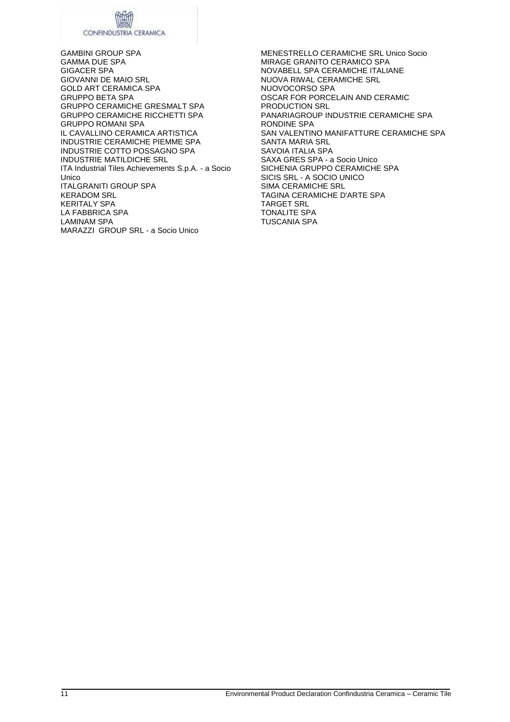# CONFINDUSTRIA CERAMICA

GAMBINI GROUP SPA GAMMA DUE SPA GIGACER SPA GIOVANNI DE MAIO SRL GOLD ART CERAMICA SPA GRUPPO BETA SPA GRUPPO CERAMICHE GRESMALT SPA GRUPPO CERAMICHE RICCHETTI SPA GRUPPO ROMANI SPA IL CAVALLINO CERAMICA ARTISTICA INDUSTRIE CERAMICHE PIEMME SPA INDUSTRIE COTTO POSSAGNO SPA INDUSTRIE MATILDICHE SRL ITA Industrial Tiles Achievements S.p.A. - a Socio Unico ITALGRANITI GROUP SPA KERADOM SRL KERITALY SPA LA FABBRICA SPA LAMINAM SPA MARAZZI GROUP SRL - a Socio Unico

MENESTRELLO CERAMICHE SRL Unico Socio MIRAGE GRANITO CERAMICO SPA NOVABELL SPA CERAMICHE ITALIANE NUOVA RIWAL CERAMICHE SRL NUOVOCORSO SPA OSCAR FOR PORCELAIN AND CERAMIC PRODUCTION SRL PANARIAGROUP INDUSTRIE CERAMICHE SPA RONDINE SPA SAN VALENTINO MANIFATTURE CERAMICHE SPA SANTA MARIA SRL SAVOIA ITALIA SPA SAXA GRES SPA - a Socio Unico SICHENIA GRUPPO CERAMICHE SPA SICIS SRL - A SOCIO UNICO SIMA CERAMICHE SRL TAGINA CERAMICHE D'ARTE SPA TARGET SRL TONALITE SPA TUSCANIA SPA